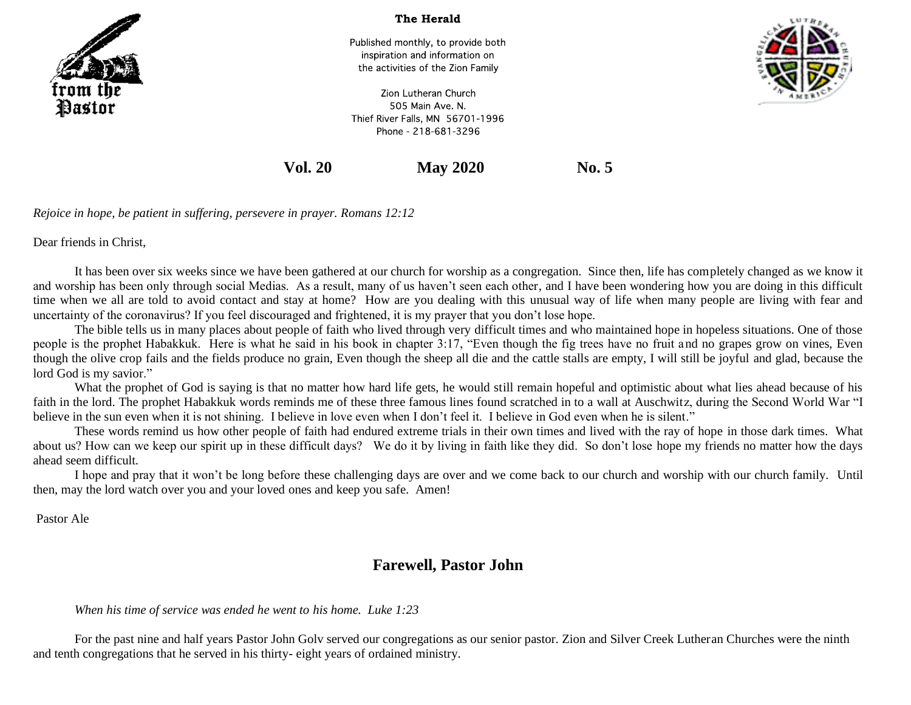

The Herald

Published monthly, to provide both inspiration and information on the activities of the Zion Family



Zion Lutheran Church 505 Main Ave. N. Thief River Falls, MN 56701-1996 Phone - 218-681-3296

**Vol. 20 May 2020 No. 5**

*Rejoice in hope, be patient in suffering, persevere in prayer. Romans 12:12*

Dear friends in Christ,

It has been over six weeks since we have been gathered at our church for worship as a congregation. Since then, life has completely changed as we know it and worship has been only through social Medias. As a result, many of us haven't seen each other, and I have been wondering how you are doing in this difficult time when we all are told to avoid contact and stay at home? How are you dealing with this unusual way of life when many people are living with fear and uncertainty of the coronavirus? If you feel discouraged and frightened, it is my prayer that you don't lose hope.

The bible tells us in many places about people of faith who lived through very difficult times and who maintained hope in hopeless situations. One of those people is the prophet Habakkuk. Here is what he said in his book in chapter 3:17, "Even though the fig trees have no fruit and no grapes grow on vines, Even though the olive crop fails and the fields produce no grain, Even though the sheep all die and the cattle stalls are empty, I will still be joyful and glad, because the lord God is my savior."

What the prophet of God is saying is that no matter how hard life gets, he would still remain hopeful and optimistic about what lies ahead because of his faith in the lord. The prophet Habakkuk words reminds me of these three famous lines found scratched in to a wall at Auschwitz, during the Second World War "I believe in the sun even when it is not shining. I believe in love even when I don't feel it. I believe in God even when he is silent."

These words remind us how other people of faith had endured extreme trials in their own times and lived with the ray of hope in those dark times. What about us? How can we keep our spirit up in these difficult days? We do it by living in faith like they did. So don't lose hope my friends no matter how the days ahead seem difficult.

I hope and pray that it won't be long before these challenging days are over and we come back to our church and worship with our church family. Until then, may the lord watch over you and your loved ones and keep you safe. Amen!

Pastor Ale

# **Farewell, Pastor John**

## *When his time of service was ended he went to his home. Luke 1:23*

For the past nine and half years Pastor John Golv served our congregations as our senior pastor. Zion and Silver Creek Lutheran Churches were the ninth and tenth congregations that he served in his thirty- eight years of ordained ministry.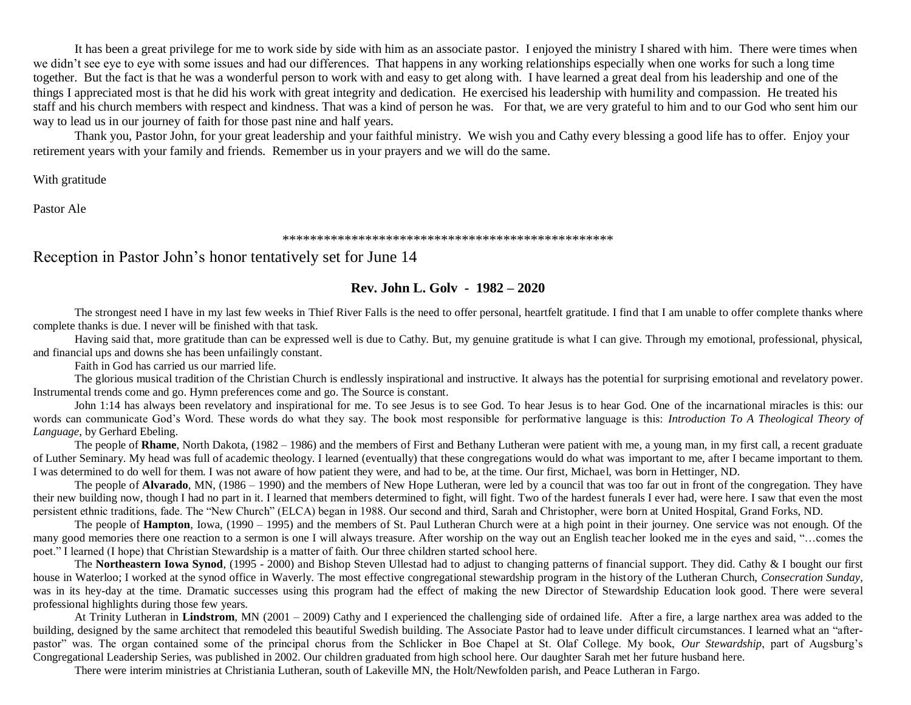It has been a great privilege for me to work side by side with him as an associate pastor. I enjoyed the ministry I shared with him. There were times when we didn't see eye to eye with some issues and had our differences. That happens in any working relationships especially when one works for such a long time together. But the fact is that he was a wonderful person to work with and easy to get along with. I have learned a great deal from his leadership and one of the things I appreciated most is that he did his work with great integrity and dedication. He exercised his leadership with humility and compassion. He treated his staff and his church members with respect and kindness. That was a kind of person he was. For that, we are very grateful to him and to our God who sent him our way to lead us in our journey of faith for those past nine and half years.

Thank you, Pastor John, for your great leadership and your faithful ministry. We wish you and Cathy every blessing a good life has to offer. Enjoy your retirement years with your family and friends. Remember us in your prayers and we will do the same.

With gratitude

Pastor Ale

#### \*\*\*\*\*\*\*\*\*\*\*\*\*\*\*\*\*\*\*\*\*\*\*\*\*\*\*\*\*\*\*\*\*\*\*\*\*\*\*\*\*\*\*\*\*\*\*\*

## Reception in Pastor John's honor tentatively set for June 14

### **Rev. John L. Golv - 1982 – 2020**

The strongest need I have in my last few weeks in Thief River Falls is the need to offer personal, heartfelt gratitude. I find that I am unable to offer complete thanks where complete thanks is due. I never will be finished with that task.

Having said that, more gratitude than can be expressed well is due to Cathy. But, my genuine gratitude is what I can give. Through my emotional, professional, physical, and financial ups and downs she has been unfailingly constant.

Faith in God has carried us our married life.

The glorious musical tradition of the Christian Church is endlessly inspirational and instructive. It always has the potential for surprising emotional and revelatory power. Instrumental trends come and go. Hymn preferences come and go. The Source is constant.

John 1:14 has always been revelatory and inspirational for me. To see Jesus is to see God. To hear Jesus is to hear God. One of the incarnational miracles is this: our words can communicate God's Word. These words do what they say. The book most responsible for performative language is this: *Introduction To A Theological Theory of Language*, by Gerhard Ebeling.

The people of **Rhame**, North Dakota, (1982 – 1986) and the members of First and Bethany Lutheran were patient with me, a young man, in my first call, a recent graduate of Luther Seminary. My head was full of academic theology. I learned (eventually) that these congregations would do what was important to me, after I became important to them. I was determined to do well for them. I was not aware of how patient they were, and had to be, at the time. Our first, Michael, was born in Hettinger, ND.

The people of **Alvarado**, MN, (1986 – 1990) and the members of New Hope Lutheran, were led by a council that was too far out in front of the congregation. They have their new building now, though I had no part in it. I learned that members determined to fight, will fight. Two of the hardest funerals I ever had, were here. I saw that even the most persistent ethnic traditions, fade. The "New Church" (ELCA) began in 1988. Our second and third, Sarah and Christopher, were born at United Hospital, Grand Forks, ND.

The people of **Hampton**, Iowa, (1990 – 1995) and the members of St. Paul Lutheran Church were at a high point in their journey. One service was not enough. Of the many good memories there one reaction to a sermon is one I will always treasure. After worship on the way out an English teacher looked me in the eyes and said, "…comes the poet." I learned (I hope) that Christian Stewardship is a matter of faith. Our three children started school here.

The **Northeastern Iowa Synod**, (1995 - 2000) and Bishop Steven Ullestad had to adjust to changing patterns of financial support. They did. Cathy & I bought our first house in Waterloo; I worked at the synod office in Waverly. The most effective congregational stewardship program in the history of the Lutheran Church, *Consecration Sunday*, was in its hey-day at the time. Dramatic successes using this program had the effect of making the new Director of Stewardship Education look good. There were several professional highlights during those few years.

At Trinity Lutheran in **Lindstrom**, MN (2001 – 2009) Cathy and I experienced the challenging side of ordained life. After a fire, a large narthex area was added to the building, designed by the same architect that remodeled this beautiful Swedish building. The Associate Pastor had to leave under difficult circumstances. I learned what an "afterpastor" was. The organ contained some of the principal chorus from the Schlicker in Boe Chapel at St. Olaf College. My book, *Our Stewardship*, part of Augsburg's Congregational Leadership Series, was published in 2002. Our children graduated from high school here. Our daughter Sarah met her future husband here.

There were interim ministries at Christiania Lutheran, south of Lakeville MN, the Holt/Newfolden parish, and Peace Lutheran in Fargo.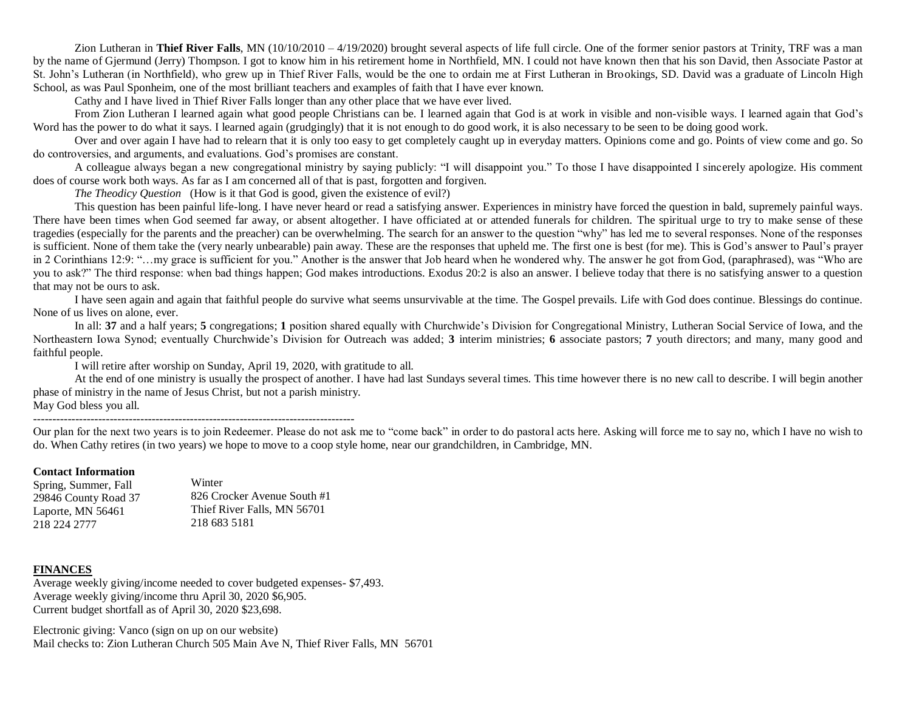Zion Lutheran in Thief River Falls, MN (10/10/2010 – 4/19/2020) brought several aspects of life full circle. One of the former senior pastors at Trinity, TRF was a man by the name of Gjermund (Jerry) Thompson. I got to know him in his retirement home in Northfield, MN. I could not have known then that his son David, then Associate Pastor at St. John's Lutheran (in Northfield), who grew up in Thief River Falls, would be the one to ordain me at First Lutheran in Brookings, SD. David was a graduate of Lincoln High School, as was Paul Sponheim, one of the most brilliant teachers and examples of faith that I have ever known.

Cathy and I have lived in Thief River Falls longer than any other place that we have ever lived.

From Zion Lutheran I learned again what good people Christians can be. I learned again that God is at work in visible and non-visible ways. I learned again that God's Word has the power to do what it says. I learned again (grudgingly) that it is not enough to do good work, it is also necessary to be seen to be doing good work.

Over and over again I have had to relearn that it is only too easy to get completely caught up in everyday matters. Opinions come and go. Points of view come and go. So do controversies, and arguments, and evaluations. God's promises are constant.

A colleague always began a new congregational ministry by saying publicly: "I will disappoint you." To those I have disappointed I sincerely apologize. His comment does of course work both ways. As far as I am concerned all of that is past, forgotten and forgiven.

*The Theodicy Question* (How is it that God is good, given the existence of evil?)

This question has been painful life-long. I have never heard or read a satisfying answer. Experiences in ministry have forced the question in bald, supremely painful ways. There have been times when God seemed far away, or absent altogether. I have officiated at or attended funerals for children. The spiritual urge to try to make sense of these tragedies (especially for the parents and the preacher) can be overwhelming. The search for an answer to the question "why" has led me to several responses. None of the responses is sufficient. None of them take the (very nearly unbearable) pain away. These are the responses that upheld me. The first one is best (for me). This is God's answer to Paul's prayer in 2 Corinthians 12:9: "…my grace is sufficient for you." Another is the answer that Job heard when he wondered why. The answer he got from God, (paraphrased), was "Who are you to ask?" The third response: when bad things happen; God makes introductions. Exodus 20:2 is also an answer. I believe today that there is no satisfying answer to a question that may not be ours to ask.

I have seen again and again that faithful people do survive what seems unsurvivable at the time. The Gospel prevails. Life with God does continue. Blessings do continue. None of us lives on alone, ever.

In all: **37** and a half years; **5** congregations; **1** position shared equally with Churchwide's Division for Congregational Ministry, Lutheran Social Service of Iowa, and the Northeastern Iowa Synod; eventually Churchwide's Division for Outreach was added; **3** interim ministries; **6** associate pastors; **7** youth directors; and many, many good and faithful people.

I will retire after worship on Sunday, April 19, 2020, with gratitude to all.

At the end of one ministry is usually the prospect of another. I have had last Sundays several times. This time however there is no new call to describe. I will begin another phase of ministry in the name of Jesus Christ, but not a parish ministry.

May God bless you all.

------------------------------------------------------------------------------------

Our plan for the next two years is to join Redeemer. Please do not ask me to "come back" in order to do pastoral acts here. Asking will force me to say no, which I have no wish to do. When Cathy retires (in two years) we hope to move to a coop style home, near our grandchildren, in Cambridge, MN.

#### **Contact Information**

Spring, Summer, Fall 29846 County Road 37 Laporte, MN 56461 218 224 2777

Winter 826 Crocker Avenue South #1 Thief River Falls, MN 56701 218 683 5181

#### **FINANCES**

Average weekly giving/income needed to cover budgeted expenses- \$7,493. Average weekly giving/income thru April 30, 2020 \$6,905. Current budget shortfall as of April 30, 2020 \$23,698.

Electronic giving: Vanco (sign on up on our website) Mail checks to: Zion Lutheran Church 505 Main Ave N, Thief River Falls, MN 56701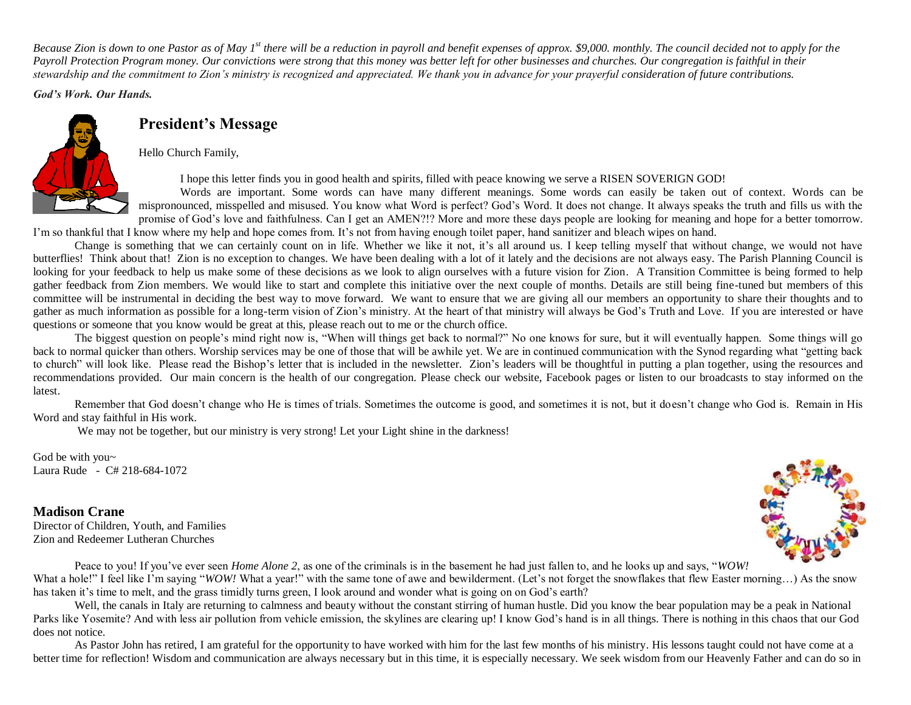*Because Zion is down to one Pastor as of May 1st there will be a reduction in payroll and benefit expenses of approx. \$9,000. monthly. The council decided not to apply for the Payroll Protection Program money. Our convictions were strong that this money was better left for other businesses and churches. Our congregation is faithful in their stewardship and the commitment to Zion's ministry is recognized and appreciated. We thank you in advance for your prayerful consideration of future contributions.* 

*God's Work. Our Hands.*



## **President's Message**

Hello Church Family,

I hope this letter finds you in good health and spirits, filled with peace knowing we serve a RISEN SOVERIGN GOD!

Words are important. Some words can have many different meanings. Some words can easily be taken out of context. Words can be mispronounced, misspelled and misused. You know what Word is perfect? God's Word. It does not change. It always speaks the truth and fills us with the promise of God's love and faithfulness. Can I get an AMEN?!? More and more these days people are looking for meaning and hope for a better tomorrow.

I'm so thankful that I know where my help and hope comes from. It's not from having enough toilet paper, hand sanitizer and bleach wipes on hand. Change is something that we can certainly count on in life. Whether we like it not, it's all around us. I keep telling myself that without change, we would not have butterflies! Think about that! Zion is no exception to changes. We have been dealing with a lot of it lately and the decisions are not always easy. The Parish Planning Council is looking for your feedback to help us make some of these decisions as we look to align ourselves with a future vision for Zion. A Transition Committee is being formed to help gather feedback from Zion members. We would like to start and complete this initiative over the next couple of months. Details are still being fine-tuned but members of this

committee will be instrumental in deciding the best way to move forward. We want to ensure that we are giving all our members an opportunity to share their thoughts and to gather as much information as possible for a long-term vision of Zion's ministry. At the heart of that ministry will always be God's Truth and Love. If you are interested or have questions or someone that you know would be great at this, please reach out to me or the church office.

The biggest question on people's mind right now is, "When will things get back to normal?" No one knows for sure, but it will eventually happen. Some things will go back to normal quicker than others. Worship services may be one of those that will be awhile yet. We are in continued communication with the Synod regarding what "getting back to church" will look like. Please read the Bishop's letter that is included in the newsletter. Zion's leaders will be thoughtful in putting a plan together, using the resources and recommendations provided. Our main concern is the health of our congregation. Please check our website, Facebook pages or listen to our broadcasts to stay informed on the latest.

Remember that God doesn't change who He is times of trials. Sometimes the outcome is good, and sometimes it is not, but it doesn't change who God is. Remain in His Word and stay faithful in His work.

We may not be together, but our ministry is very strong! Let your Light shine in the darkness!

God be with you~ Laura Rude - C# 218-684-1072

## **Madison Crane**

Director of Children, Youth, and Families Zion and Redeemer Lutheran Churches



Peace to you! If you've ever seen *Home Alone 2*, as one of the criminals is in the basement he had just fallen to, and he looks up and says, "*WOW!* 

What a hole!" I feel like I'm saying "*WOW!* What a year!" with the same tone of awe and bewilderment. (Let's not forget the snowflakes that flew Easter morning...) As the snow has taken it's time to melt, and the grass timidly turns green, I look around and wonder what is going on on God's earth?

Well, the canals in Italy are returning to calmness and beauty without the constant stirring of human hustle. Did you know the bear population may be a peak in National Parks like Yosemite? And with less air pollution from vehicle emission, the skylines are clearing up! I know God's hand is in all things. There is nothing in this chaos that our God does not notice.

As Pastor John has retired, I am grateful for the opportunity to have worked with him for the last few months of his ministry. His lessons taught could not have come at a better time for reflection! Wisdom and communication are always necessary but in this time, it is especially necessary. We seek wisdom from our Heavenly Father and can do so in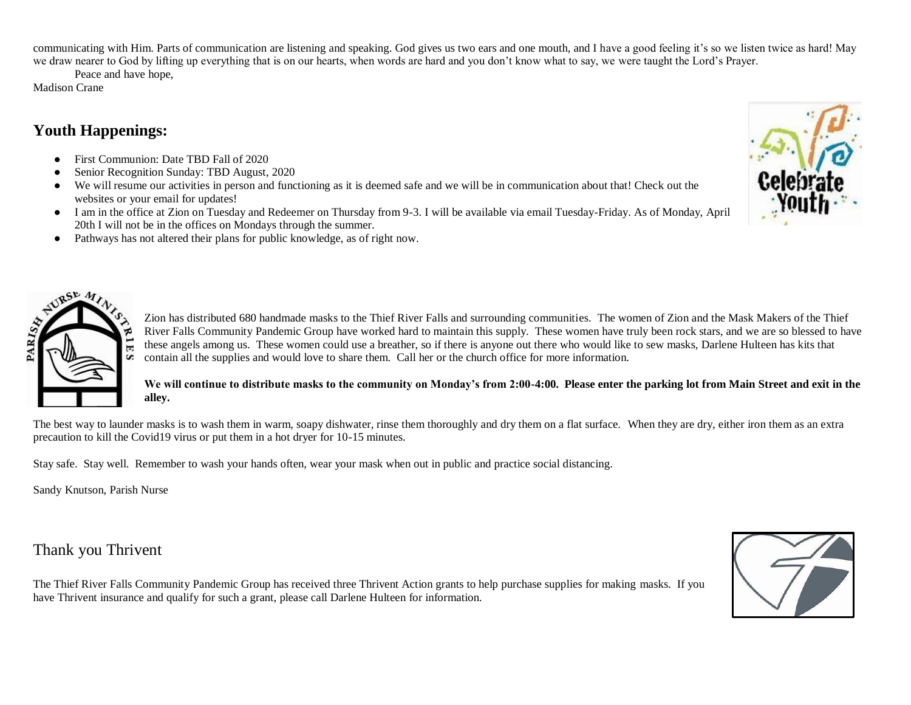communicating with Him. Parts of communication are listening and speaking. God gives us two ears and one mouth, and I have a good feeling it's so we listen twice as hard! May we draw nearer to God by lifting up everything that is on our hearts, when words are hard and you don't know what to say, we were taught the Lord's Prayer.

Peace and have hope,

Madison Crane

# **Youth Happenings:**

- First Communion: Date TBD Fall of 2020
- Senior Recognition Sunday: TBD August, 2020
- We will resume our activities in person and functioning as it is deemed safe and we will be in communication about that! Check out the websites or your email for updates!
- I am in the office at Zion on Tuesday and Redeemer on Thursday from 9-3. I will be available via email Tuesday-Friday. As of Monday, April 20th I will not be in the offices on Mondays through the summer.
- Pathways has not altered their plans for public knowledge, as of right now.



Zion has distributed 680 handmade masks to the Thief River Falls and surrounding communities. The women of Zion and the Mask Makers of the Thief River Falls Community Pandemic Group have worked hard to maintain this supply. These women have truly been rock stars, and we are so blessed to have these angels among us. These women could use a breather, so if there is anyone out there who would like to sew masks, Darlene Hulteen has kits that contain all the supplies and would love to share them. Call her or the church office for more information.

## **We will continue to distribute masks to the community on Monday's from 2:00-4:00. Please enter the parking lot from Main Street and exit in the alley.**

The best way to launder masks is to wash them in warm, soapy dishwater, rinse them thoroughly and dry them on a flat surface. When they are dry, either iron them as an extra precaution to kill the Covid19 virus or put them in a hot dryer for 10-15 minutes.

Stay safe. Stay well. Remember to wash your hands often, wear your mask when out in public and practice social distancing.

Sandy Knutson, Parish Nurse

# Thank you Thrivent

The Thief River Falls Community Pandemic Group has received three Thrivent Action grants to help purchase supplies for making masks. If you have Thrivent insurance and qualify for such a grant, please call Darlene Hulteen for information.



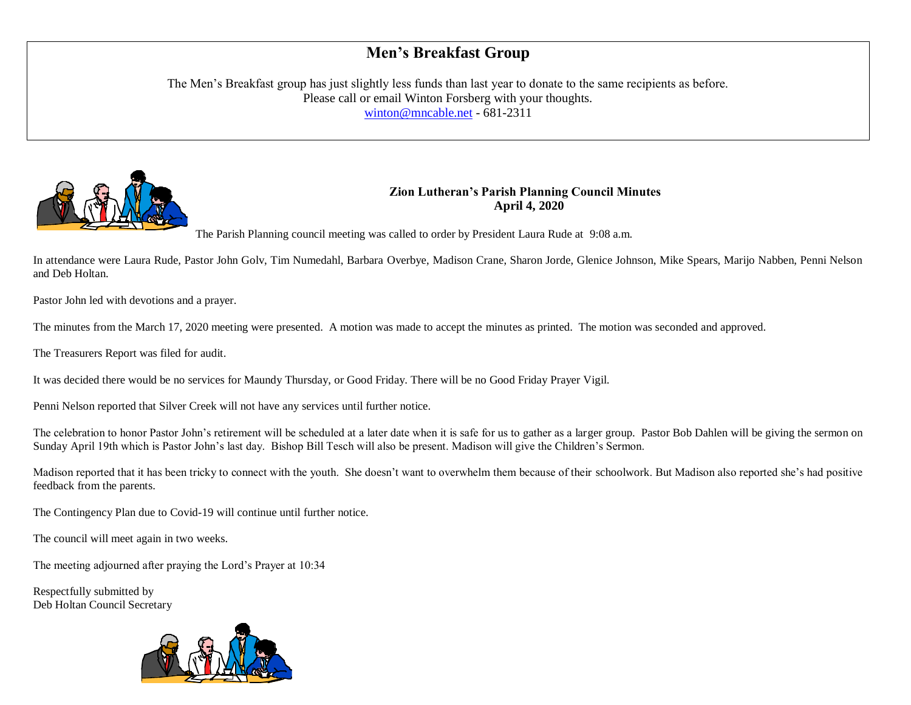# **Men's Breakfast Group**

The Men's Breakfast group has just slightly less funds than last year to donate to the same recipients as before. Please call or email Winton Forsberg with your thoughts. [winton@mncable.net](mailto:winton@mncable.net) - 681-2311



## **Zion Lutheran's Parish Planning Council Minutes April 4, 2020**

The Parish Planning council meeting was called to order by President Laura Rude at 9:08 a.m.

In attendance were Laura Rude, Pastor John Golv, Tim Numedahl, Barbara Overbye, Madison Crane, Sharon Jorde, Glenice Johnson, Mike Spears, Marijo Nabben, Penni Nelson and Deb Holtan.

Pastor John led with devotions and a prayer.

The minutes from the March 17, 2020 meeting were presented. A motion was made to accept the minutes as printed. The motion was seconded and approved.

The Treasurers Report was filed for audit.

It was decided there would be no services for Maundy Thursday, or Good Friday. There will be no Good Friday Prayer Vigil.

Penni Nelson reported that Silver Creek will not have any services until further notice.

The celebration to honor Pastor John's retirement will be scheduled at a later date when it is safe for us to gather as a larger group. Pastor Bob Dahlen will be giving the sermon on Sunday April 19th which is Pastor John's last day. Bishop Bill Tesch will also be present. Madison will give the Children's Sermon.

Madison reported that it has been tricky to connect with the youth. She doesn't want to overwhelm them because of their schoolwork. But Madison also reported she's had positive feedback from the parents.

The Contingency Plan due to Covid-19 will continue until further notice.

The council will meet again in two weeks.

The meeting adjourned after praying the Lord's Prayer at 10:34

Respectfully submitted by Deb Holtan Council Secretary

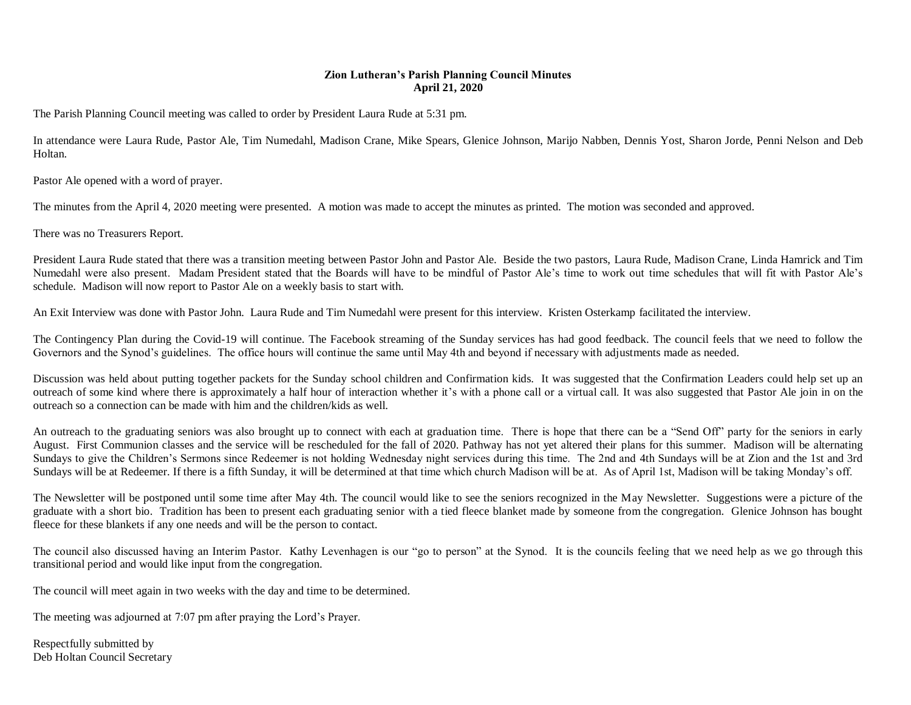### **Zion Lutheran's Parish Planning Council Minutes April 21, 2020**

The Parish Planning Council meeting was called to order by President Laura Rude at 5:31 pm.

In attendance were Laura Rude, Pastor Ale, Tim Numedahl, Madison Crane, Mike Spears, Glenice Johnson, Marijo Nabben, Dennis Yost, Sharon Jorde, Penni Nelson and Deb Holtan.

Pastor Ale opened with a word of prayer.

The minutes from the April 4, 2020 meeting were presented. A motion was made to accept the minutes as printed. The motion was seconded and approved.

There was no Treasurers Report.

President Laura Rude stated that there was a transition meeting between Pastor John and Pastor Ale. Beside the two pastors, Laura Rude, Madison Crane, Linda Hamrick and Tim Numedahl were also present. Madam President stated that the Boards will have to be mindful of Pastor Ale's time to work out time schedules that will fit with Pastor Ale's schedule. Madison will now report to Pastor Ale on a weekly basis to start with.

An Exit Interview was done with Pastor John. Laura Rude and Tim Numedahl were present for this interview. Kristen Osterkamp facilitated the interview.

The Contingency Plan during the Covid-19 will continue. The Facebook streaming of the Sunday services has had good feedback. The council feels that we need to follow the Governors and the Synod's guidelines. The office hours will continue the same until May 4th and beyond if necessary with adjustments made as needed.

Discussion was held about putting together packets for the Sunday school children and Confirmation kids. It was suggested that the Confirmation Leaders could help set up an outreach of some kind where there is approximately a half hour of interaction whether it's with a phone call or a virtual call. It was also suggested that Pastor Ale join in on the outreach so a connection can be made with him and the children/kids as well.

An outreach to the graduating seniors was also brought up to connect with each at graduation time. There is hope that there can be a "Send Off" party for the seniors in early August. First Communion classes and the service will be rescheduled for the fall of 2020. Pathway has not yet altered their plans for this summer. Madison will be alternating Sundays to give the Children's Sermons since Redeemer is not holding Wednesday night services during this time. The 2nd and 4th Sundays will be at Zion and the 1st and 3rd Sundays will be at Redeemer. If there is a fifth Sunday, it will be determined at that time which church Madison will be at. As of April 1st, Madison will be taking Monday's off.

The Newsletter will be postponed until some time after May 4th. The council would like to see the seniors recognized in the May Newsletter. Suggestions were a picture of the graduate with a short bio. Tradition has been to present each graduating senior with a tied fleece blanket made by someone from the congregation. Glenice Johnson has bought fleece for these blankets if any one needs and will be the person to contact.

The council also discussed having an Interim Pastor. Kathy Levenhagen is our "go to person" at the Synod. It is the councils feeling that we need help as we go through this transitional period and would like input from the congregation.

The council will meet again in two weeks with the day and time to be determined.

The meeting was adjourned at 7:07 pm after praying the Lord's Prayer.

Respectfully submitted by Deb Holtan Council Secretary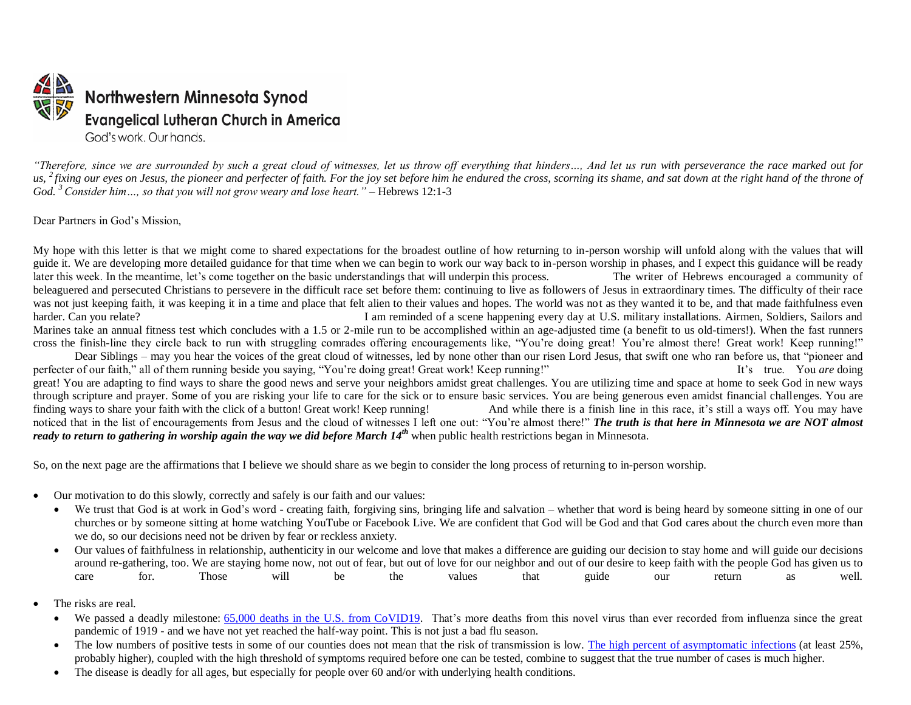

*"Therefore, since we are surrounded by such a great cloud of witnesses, let us throw off everything that hinders…, And let us run with perseverance the race marked out for*  us, <sup>2</sup> fixing our eyes on Jesus, the pioneer and perfecter of faith. For the joy set before him he endured the cross, scorning its shame, and sat down at the right hand of the throne of *God. <sup>3</sup> Consider him…, so that you will not grow weary and lose heart." –* Hebrews 12:1-3

Dear Partners in God's Mission,

My hope with this letter is that we might come to shared expectations for the broadest outline of how returning to in-person worship will unfold along with the values that will guide it. We are developing more detailed guidance for that time when we can begin to work our way back to in-person worship in phases, and I expect this guidance will be ready later this week. In the meantime, let's come together on the basic understandings that will underpin this process. The writer of Hebrews encouraged a community of beleaguered and persecuted Christians to persevere in the difficult race set before them: continuing to live as followers of Jesus in extraordinary times. The difficulty of their race was not just keeping faith, it was keeping it in a time and place that felt alien to their values and hopes. The world was not as they wanted it to be, and that made faithfulness even harder. Can you relate? **I** am reminded of a scene happening every day at U.S. military installations. Airmen, Soldiers, Sailors and Marines take an annual fitness test which concludes with a 1.5 or 2-mile run to be accomplished within an age-adjusted time (a benefit to us old-timers!). When the fast runners cross the finish-line they circle back to run with struggling comrades offering encouragements like, "You're doing great! You're almost there! Great work! Keep running!" Dear Siblings – may you hear the voices of the great cloud of witnesses, led by none other than our risen Lord Jesus, that swift one who ran before us, that "pioneer and perfecter of our faith," all of them running beside you saying, "You're doing great! Great work! Keep running!" It's true. You *are* doing great! You are adapting to find ways to share the good news and serve your neighbors amidst great challenges. You are utilizing time and space at home to seek God in new ways through scripture and prayer. Some of you are risking your life to care for the sick or to ensure basic services. You are being generous even amidst financial challenges. You are finding ways to share your faith with the click of a button! Great work! Keep running! And while there is a finish line in this race, it's still a ways off. You may have noticed that in the list of encouragements from Jesus and the cloud of witnesses I left one out: "You're almost there!" *The truth is that here in Minnesota we are NOT almost ready to return to gathering in worship again the way we did before March 14th* when public health restrictions began in Minnesota.

So, on the next page are the affirmations that I believe we should share as we begin to consider the long process of returning to in-person worship.

- Our motivation to do this slowly, correctly and safely is our faith and our values:
	- We trust that God is at work in God's word creating faith, forgiving sins, bringing life and salvation whether that word is being heard by someone sitting in one of our churches or by someone sitting at home watching YouTube or Facebook Live. We are confident that God will be God and that God cares about the church even more than we do, so our decisions need not be driven by fear or reckless anxiety.
	- Our values of faithfulness in relationship, authenticity in our welcome and love that makes a difference are guiding our decision to stay home and will guide our decisions around re-gathering, too. We are staying home now, not out of fear, but out of love for our neighbor and out of our desire to keep faith with the people God has given us to care for. Those will be the values that guide our return as well.
- The risks are real.
	- We passed a deadly milestone: [65,000 deaths in the U.S. from CoVID19.](https://www.cdc.gov/coronavirus/2019-ncov/cases-updates/cases-in-us.html) That's more deaths from this novel virus than ever recorded from influenza since the great pandemic of 1919 - and we have not yet reached the half-way point. This is not just a bad flu season.
	- The low numbers of positive tests in some of our counties does not mean that the risk of transmission is low. [The high percent of asymptomatic infections](https://www.sciencealert.com/here-s-what-we-know-so-far-about-those-who-can-pass-corona-without-symptoms) (at least 25%, probably higher), coupled with the high threshold of symptoms required before one can be tested, combine to suggest that the true number of cases is much higher.
	- The disease is deadly for all ages, but especially for people over 60 and/or with underlying health conditions.